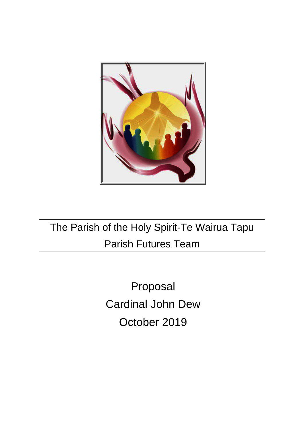

The Parish of the Holy Spirit-Te Wairua Tapu Parish Futures Team

> Proposal Cardinal John Dew October 2019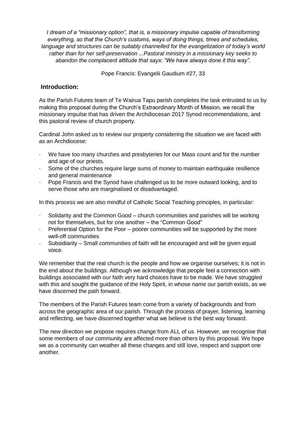*I dream of a "missionary option", that is, a missionary impulse capable of transforming everything, so that the Church's customs, ways of doing things, times and schedules, language and structures can be suitably channelled for the evangelization of today's world rather than for her self-preservation ...Pastoral ministry in a missionary key seeks to abandon the complacent attitude that says: "We have always done it this way".*

Pope Francis: Evangelii Gaudium #27, 33

## **Introduction:**

As the Parish Futures team of Te Wairua Tapu parish completes the task entrusted to us by making this proposal during the Church's Extraordinary Month of Mission, we recall the missionary impulse that has driven the Archdiocesan 2017 Synod recommendations, and this pastoral review of church property.

Cardinal John asked us to review our property considering the situation we are faced with as an Archdiocese:

- We have too many churches and presbyteries for our Mass count and for the number and age of our priests.
- Some of the churches require large sums of money to maintain earthquake resilience and general maintenance
- Pope Francis and the Synod have challenged us to be more outward looking, and to serve those who are marginalised or disadvantaged.

In this process we are also mindful of Catholic Social Teaching principles, in particular:

- ⋅ Solidarity and the Common Good church communities and parishes will be working not for themselves, but for one another – the "Common Good"
- Preferential Option for the Poor poorer communities will be supported by the more well-off communities
- ⋅ Subsidiarity Small communities of faith will be encouraged and will be given equal voice.

We remember that the real church is the people and how we organise ourselves; it is not in the end about the buildings. Although we acknowledge that people feel a connection with buildings associated with our faith very hard choices have to be made. We have struggled with this and sought the guidance of the Holy Spirit, in whose name our parish exists, as we have discerned the path forward.

The members of the Parish Futures team come from a variety of backgrounds and from across the geographic area of our parish. Through the process of prayer, listening, learning and reflecting, we have discerned together what we believe is the best way forward.

The new direction we propose requires change from ALL of us. However, we recognise that some members of our community are affected more than others by this proposal. We hope we as a community can weather all these changes and still love, respect and support one another.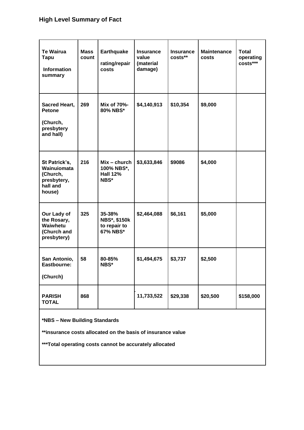# **High Level Summary of Fact**

| <b>Te Wairua</b><br><b>Tapu</b><br><b>Information</b><br>summary              | <b>Mass</b><br>count | <b>Earthquake</b><br>rating/repair<br>costs               | <b>Insurance</b><br>value<br>(material<br>damage) | <b>Insurance</b><br>costs** | <b>Maintenance</b><br>costs | <b>Total</b><br>operating<br>costs*** |
|-------------------------------------------------------------------------------|----------------------|-----------------------------------------------------------|---------------------------------------------------|-----------------------------|-----------------------------|---------------------------------------|
| Sacred Heart,<br><b>Petone</b><br>(Church,<br>presbytery<br>and hall)         | 269                  | Mix of 70%-<br>80% NBS*                                   | \$4,140,913                                       | \$10,354                    | \$9,000                     |                                       |
| St Patrick's,<br>Wainuiomata<br>(Church,<br>presbytery,<br>hall and<br>house) | 216                  | $Mix$ – church<br>100% NBS*,<br><b>Hall 12%</b><br>NBS*   | \$3,633,846                                       | \$9086                      | \$4,000                     |                                       |
| Our Lady of<br>the Rosary,<br>Waiwhetu<br>(Church and<br>presbytery)          | 325                  | 35-38%<br><b>NBS*, \$150k</b><br>to repair to<br>67% NBS* | \$2,464,088                                       | \$6,161                     | \$5,000                     |                                       |
| San Antonio,<br>Eastbourne:<br>(Church)                                       | 58                   | 80-85%<br>NBS*                                            | \$1,494,675                                       | \$3,737                     | \$2,500                     |                                       |
| <b>PARISH</b><br><b>TOTAL</b>                                                 | 868                  |                                                           | 11,733,522                                        | \$29,338                    | \$20,500                    | \$158,000                             |

**\*NBS – New Building Standards**

**\*\*insurance costs allocated on the basis of insurance value**

**\*\*\*Total operating costs cannot be accurately allocated**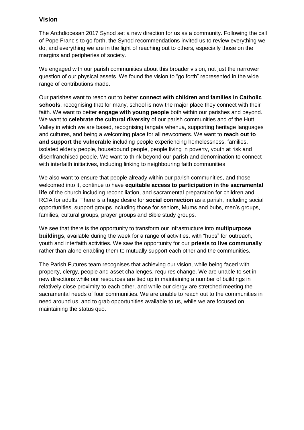#### **Vision**

The Archdiocesan 2017 Synod set a new direction for us as a community. Following the call of Pope Francis to go forth, the Synod recommendations invited us to review everything we do, and everything we are in the light of reaching out to others, especially those on the margins and peripheries of society.

We engaged with our parish communities about this broader vision, not just the narrower question of our physical assets. We found the vision to "go forth" represented in the wide range of contributions made.

Our parishes want to reach out to better **connect with children and families in Catholic schools**, recognising that for many, school is now the major place they connect with their faith. We want to better **engage with young people** both within our parishes and beyond. We want to **celebrate the cultural diversity** of our parish communities and of the Hutt Valley in which we are based, recognising tangata whenua, supporting heritage languages and cultures, and being a welcoming place for all newcomers. We want to **reach out to and support the vulnerable** including people experiencing homelessness, families, isolated elderly people, housebound people, people living in poverty, youth at risk and disenfranchised people. We want to think beyond our parish and denomination to connect with interfaith initiatives, including linking to neighbouring faith communities

We also want to ensure that people already within our parish communities, and those welcomed into it, continue to have **equitable access to participation in the sacramental life** of the church including reconciliation, and sacramental preparation for children and RCIA for adults. There is a huge desire for **social connection** as a parish, including social opportunities, support groups including those for seniors, Mums and bubs, men's groups, families, cultural groups, prayer groups and Bible study groups.

We see that there is the opportunity to transform our infrastructure into **multipurpose buildings**, available during the week for a range of activities, with "hubs" for outreach, youth and interfaith activities. We saw the opportunity for our **priests to live communally** rather than alone enabling them to mutually support each other and the communities.

The Parish Futures team recognises that achieving our vision, while being faced with property, clergy, people and asset challenges, requires change. We are unable to set in new directions while our resources are tied up in maintaining a number of buildings in relatively close proximity to each other, and while our clergy are stretched meeting the sacramental needs of four communities. We are unable to reach out to the communities in need around us, and to grab opportunities available to us, while we are focused on maintaining the status quo.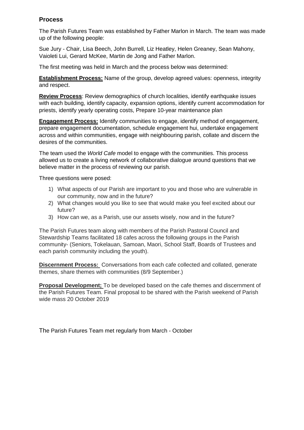## **Process**

The Parish Futures Team was established by Father Marlon in March. The team was made up of the following people:

Sue Jury - Chair, Lisa Beech, John Burrell, Liz Heatley, Helen Greaney, Sean Mahony, Vaioleti Lui, Gerard McKee, Martin de Jong and Father Marlon.

The first meeting was held in March and the process below was determined:

**Establishment Process:** Name of the group, develop agreed values: openness, integrity and respect.

**Review Process**: Review demographics of church localities, identify earthquake issues with each building, identify capacity, expansion options, identify current accommodation for priests, identify yearly operating costs, Prepare 10-year maintenance plan

**Engagement Process:** Identify communities to engage, identify method of engagement, prepare engagement documentation, schedule engagement hui, undertake engagement across and within communities, engage with neighbouring parish, collate and discern the desires of the communities.

The team used the *World Cafe* model to engage with the communities. This process allowed us to create a living network of collaborative dialogue around questions that we believe matter in the process of reviewing our parish.

Three questions were posed:

- 1) What aspects of our Parish are important to you and those who are vulnerable in our community, now and in the future?
- 2) What changes would you like to see that would make you feel excited about our future?
- 3) How can we, as a Parish, use our assets wisely, now and in the future?

The Parish Futures team along with members of the Parish Pastoral Council and Stewardship Teams facilitated 18 cafes across the following groups in the Parish community- (Seniors, Tokelauan, Samoan, Maori, School Staff, Boards of Trustees and each parish community including the youth).

**Discernment Process:** Conversations from each cafe collected and collated, generate themes, share themes with communities (8/9 September.)

**Proposal Development;** To be developed based on the cafe themes and discernment of the Parish Futures Team. Final proposal to be shared with the Parish weekend of Parish wide mass 20 October 2019

The Parish Futures Team met regularly from March - October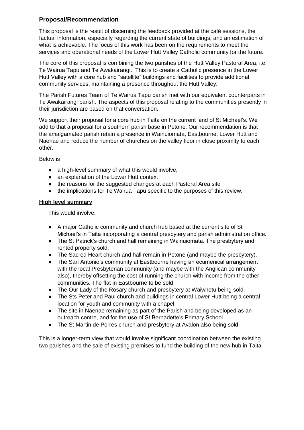## **Proposal/Recommendation**

This proposal is the result of discerning the feedback provided at the café sessions, the factual information, especially regarding the current state of buildings, and an estimation of what is achievable. The focus of this work has been on the requirements to meet the services and operational needs of the Lower Hutt Valley Catholic community for the future.

The core of this proposal is combining the two parishes of the Hutt Valley Pastoral Area, i.e. Te Wairua Tapu and Te Awakairangi. This is to create a Catholic presence in the Lower Hutt Valley with a core hub and "satellite" buildings and facilities to provide additional community services, maintaining a presence throughout the Hutt Valley.

The Parish Futures Team of Te Wairua Tapu parish met with our equivalent counterparts in Te Awakairangi parish. The aspects of this proposal relating to the communities presently in their jurisdiction are based on that conversation.

We support their proposal for a core hub in Taita on the current land of St Michael's. We add to that a proposal for a southern parish base in Petone. Our recommendation is that the amalgamated parish retain a presence in Wainuiomata, Eastbourne, Lower Hutt and Naenae and reduce the number of churches on the valley floor in close proximity to each other.

Below is

- a high-level summary of what this would involve,
- an explanation of the Lower Hutt context
- the reasons for the suggested changes at each Pastoral Area site
- the implications for Te Wairua Tapu specific to the purposes of this review.

#### **High level summary**

This would involve:

- A major Catholic community and church hub based at the current site of St Michael's in Taita incorporating a central presbytery and parish administration office.
- The St Patrick's church and hall remaining in Wainuiomata. The presbytery and rented property sold.
- The Sacred Heart church and hall remain in Petone (and maybe the presbytery).
- The San Antonio's community at Eastbourne having an ecumenical arrangement with the local Presbyterian community (and maybe with the Anglican community also), thereby offsetting the cost of running the church with income from the other communities. The flat in Eastbourne to be sold
- The Our Lady of the Rosary church and presbytery at Waiwhetu being sold.
- The Sts Peter and Paul church and buildings in central Lower Hutt being a central location for youth and community with a chapel.
- The site in Naenae remaining as part of the Parish and being developed as an outreach centre, and for the use of St Bernadette's Primary School.
- The St Martin de Porres church and presbytery at Avalon also being sold.

This is a longer-term view that would involve significant coordination between the existing two parishes and the sale of existing premises to fund the building of the new hub in Taita.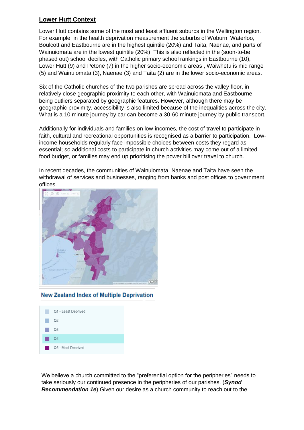# **Lower Hutt Context**

Lower Hutt contains some of the most and least affluent suburbs in the Wellington region. For example, in the health deprivation measurement the suburbs of Woburn, Waterloo, Boulcott and Eastbourne are in the highest quintile (20%) and Taita, Naenae, and parts of Wainuiomata are in the lowest quintile (20%). This is also reflected in the (soon-to-be phased out) school deciles, with Catholic primary school rankings in Eastbourne (10), Lower Hutt (9) and Petone (7) in the higher socio-economic areas , Waiwhetu is mid range (5) and Wainuiomata (3), Naenae (3) and Taita (2) are in the lower socio-economic areas.

Six of the Catholic churches of the two parishes are spread across the valley floor, in relatively close geographic proximity to each other, with Wainuiomata and Eastbourne being outliers separated by geographic features. However, although there may be geographic proximity, accessibility is also limited because of the inequalities across the city. What is a 10 minute journey by car can become a 30-60 minute journey by public transport.

Additionally for individuals and families on low-incomes, the cost of travel to participate in faith, cultural and recreational opportunities is recognised as a barrier to participation. Lowincome households regularly face impossible choices between costs they regard as essential; so additional costs to participate in church activities may come out of a limited food budget, or families may end up prioritising the power bill over travel to church.

In recent decades, the communities of Wainuiomata, Naenae and Taita have seen the withdrawal of services and businesses, ranging from banks and post offices to government offices.



#### **New Zealand Index of Multiple Deprivation**



We believe a church committed to the "preferential option for the peripheries" needs to take seriously our continued presence in the peripheries of our parishes. (*Synod Recommendation 1e*) Given our desire as a church community to reach out to the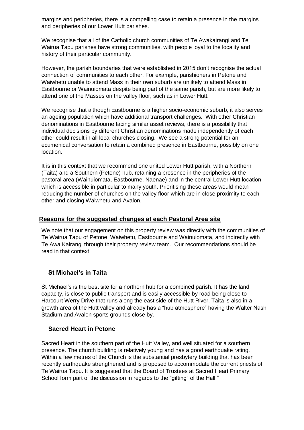margins and peripheries, there is a compelling case to retain a presence in the margins and peripheries of our Lower Hutt parishes.

We recognise that all of the Catholic church communities of Te Awakairangi and Te Wairua Tapu parishes have strong communities, with people loyal to the locality and history of their particular community.

However, the parish boundaries that were established in 2015 don't recognise the actual connection of communities to each other. For example, parishioners in Petone and Waiwhetu unable to attend Mass in their own suburb are unlikely to attend Mass in Eastbourne or Wainuiomata despite being part of the same parish, but are more likely to attend one of the Masses on the valley floor, such as in Lower Hutt.

We recognise that although Eastbourne is a higher socio-economic suburb, it also serves an ageing population which have additional transport challenges. With other Christian denominations in Eastbourne facing similar asset reviews, there is a possibility that individual decisions by different Christian denominations made independently of each other could result in all local churches closing. We see a strong potential for an ecumenical conversation to retain a combined presence in Eastbourne, possibly on one location.

It is in this context that we recommend one united Lower Hutt parish, with a Northern (Taita) and a Southern (Petone) hub, retaining a presence in the peripheries of the pastoral area (Wainuiomata, Eastbourne, Naenae) and in the central Lower Hutt location which is accessible in particular to many youth. Prioritising these areas would mean reducing the number of churches on the valley floor which are in close proximity to each other and closing Waiwhetu and Avalon.

#### **Reasons for the suggested changes at each Pastoral Area site**

We note that our engagement on this property review was directly with the communities of Te Wairua Tapu of Petone, Waiwhetu, Eastbourne and Wainuiomata, and indirectly with Te Awa Kairangi through their property review team. Our recommendations should be read in that context.

#### **St Michael's in Taita**

St Michael's is the best site for a northern hub for a combined parish. It has the land capacity, is close to public transport and is easily accessible by road being close to Harcourt Werry Drive that runs along the east side of the Hutt River. Taita is also in a growth area of the Hutt valley and already has a "hub atmosphere" having the Walter Nash Stadium and Avalon sports grounds close by.

#### **Sacred Heart in Petone**

Sacred Heart in the southern part of the Hutt Valley, and well situated for a southern presence. The church building is relatively young and has a good earthquake rating. Within a few metres of the Church is the substantial presbytery building that has been recently earthquake strengthened and is proposed to accommodate the current priests of Te Wairua Tapu. It is suggested that the Board of Trustees at Sacred Heart Primary School form part of the discussion in regards to the "gifting" of the Hall."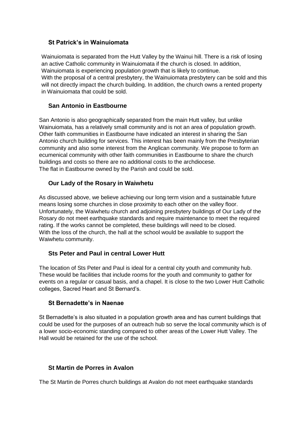#### **St Patrick's in Wainuiomata**

Wainuiomata is separated from the Hutt Valley by the Wainui hill. There is a risk of losing an active Catholic community in Wainuiomata if the church is closed. In addition, Wainuiomata is experiencing population growth that is likely to continue. With the proposal of a central presbytery, the Wainuiomata presbytery can be sold and this will not directly impact the church building. In addition, the church owns a rented property in Wainuiomata that could be sold.

## **San Antonio in Eastbourne**

San Antonio is also geographically separated from the main Hutt valley, but unlike Wainuiomata, has a relatively small community and is not an area of population growth. Other faith communities in Eastbourne have indicated an interest in sharing the San Antonio church building for services. This interest has been mainly from the Presbyterian community and also some interest from the Anglican community. We propose to form an ecumenical community with other faith communities in Eastbourne to share the church buildings and costs so there are no additional costs to the archdiocese. The flat in Eastbourne owned by the Parish and could be sold.

## **Our Lady of the Rosary in Waiwhetu**

As discussed above, we believe achieving our long term vision and a sustainable future means losing some churches in close proximity to each other on the valley floor. Unfortunately, the Waiwhetu church and adjoining presbytery buildings of Our Lady of the Rosary do not meet earthquake standards and require maintenance to meet the required rating. If the works cannot be completed, these buildings will need to be closed. With the loss of the church, the hall at the school would be available to support the Waiwhetu community.

#### **Sts Peter and Paul in central Lower Hutt**

The location of Sts Peter and Paul is ideal for a central city youth and community hub. These would be facilities that include rooms for the youth and community to gather for events on a regular or casual basis, and a chapel. It is close to the two Lower Hutt Catholic colleges, Sacred Heart and St Bernard's.

#### **St Bernadette's in Naenae**

St Bernadette's is also situated in a population growth area and has current buildings that could be used for the purposes of an outreach hub so serve the local community which is of a lower socio-economic standing compared to other areas of the Lower Hutt Valley. The Hall would be retained for the use of the school.

#### **St Martin de Porres in Avalon**

The St Martin de Porres church buildings at Avalon do not meet earthquake standards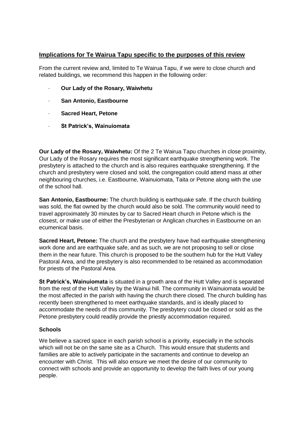#### **Implications for Te Wairua Tapu specific to the purposes of this review**

From the current review and, limited to Te Wairua Tapu, if we were to close church and related buildings, we recommend this happen in the following order:

- · **Our Lady of the Rosary, Waiwhetu**
- · **San Antonio, Eastbourne**
- **Sacred Heart, Petone**
- · **St Patrick's, Wainuiomata**

**Our Lady of the Rosary, Waiwhetu:** Of the 2 Te Wairua Tapu churches in close proximity, Our Lady of the Rosary requires the most significant earthquake strengthening work. The presbytery is attached to the church and is also requires earthquake strengthening. If the church and presbytery were closed and sold, the congregation could attend mass at other neighbouring churches, i.e. Eastbourne, Wainuiomata, Taita or Petone along with the use of the school hall.

**San Antonio, Eastbourne:** The church building is earthquake safe. If the church building was sold, the flat owned by the church would also be sold. The community would need to travel approximately 30 minutes by car to Sacred Heart church in Petone which is the closest, or make use of either the Presbyterian or Anglican churches in Eastbourne on an ecumenical basis.

**Sacred Heart, Petone:** The church and the presbytery have had earthquake strengthening work done and are earthquake safe, and as such, we are not proposing to sell or close them in the near future. This church is proposed to be the southern hub for the Hutt Valley Pastoral Area, and the presbytery is also recommended to be retained as accommodation for priests of the Pastoral Area.

**St Patrick's, Wainuiomata** is situated in a growth area of the Hutt Valley and is separated from the rest of the Hutt Valley by the Wainui hill. The community in Wainuiomata would be the most affected in the parish with having the church there closed. The church building has recently been strengthened to meet earthquake standards, and is ideally placed to accommodate the needs of this community. The presbytery could be closed or sold as the Petone presbytery could readily provide the priestly accommodation required.

#### **Schools**

We believe a sacred space in each parish school is a priority, especially in the schools which will not be on the same site as a Church. This would ensure that students and families are able to actively participate in the sacraments and continue to develop an encounter with Christ. This will also ensure we meet the desire of our community to connect with schools and provide an opportunity to develop the faith lives of our young people.